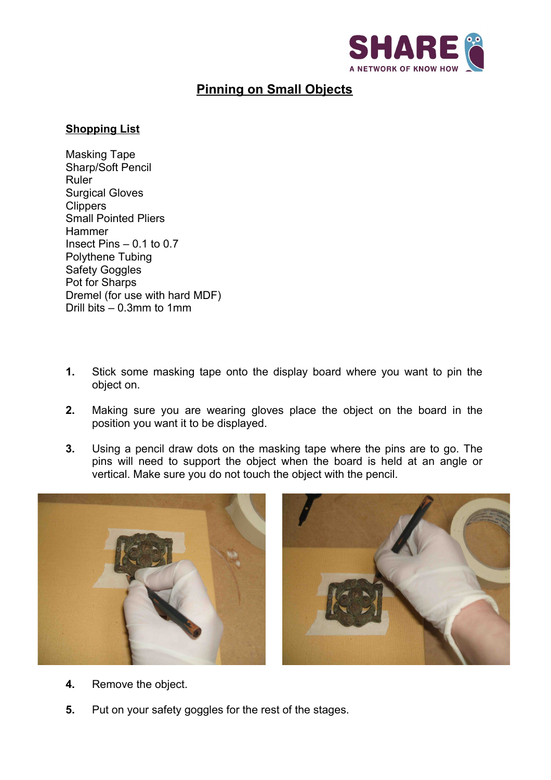

## **Pinning on Small Objects**

## **Shopping List**

Masking Tape Sharp/Soft Pencil Ruler Surgical Gloves **Clippers** Small Pointed Pliers **Hammer** Insect Pins  $-0.1$  to 0.7 Polythene Tubing Safety Goggles Pot for Sharps Dremel (for use with hard MDF) Drill bits – 0.3mm to 1mm

- **1.** Stick some masking tape onto the display board where you want to pin the object on.
- **2.** Making sure you are wearing gloves place the object on the board in the position you want it to be displayed.
- **3.** Using a pencil draw dots on the masking tape where the pins are to go. The pins will need to support the object when the board is held at an angle or vertical. Make sure you do not touch the object with the pencil.





- **4.** Remove the object.
- **5.** Put on your safety goggles for the rest of the stages.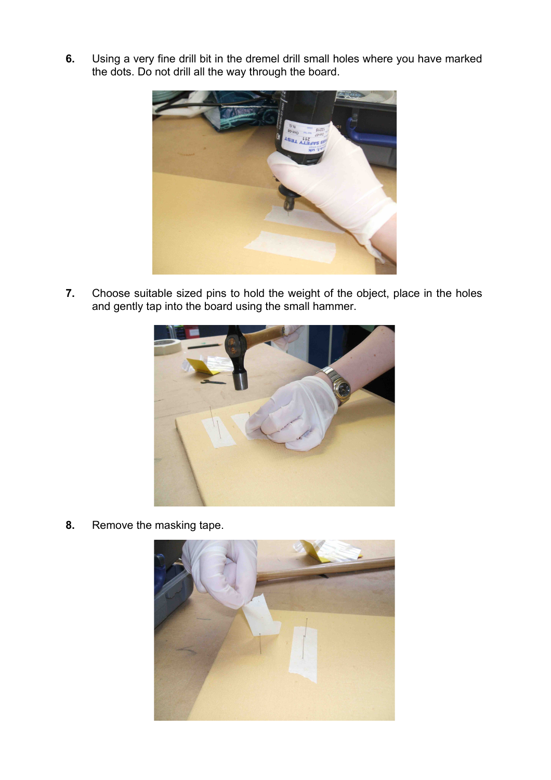**6.** Using a very fine drill bit in the dremel drill small holes where you have marked the dots. Do not drill all the way through the board.



**7.** Choose suitable sized pins to hold the weight of the object, place in the holes and gently tap into the board using the small hammer.



**8.** Remove the masking tape.